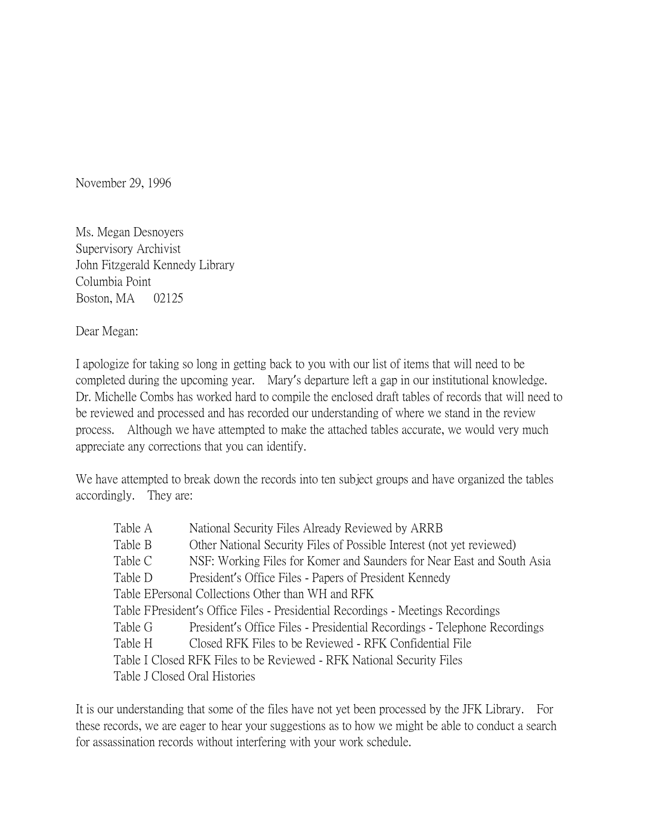November 29, 1996

Ms. Megan Desnoyers Supervisory Archivist John Fitzgerald Kennedy Library Columbia Point Boston, MA 02125

Dear Megan:

I apologize for taking so long in getting back to you with our list of items that will need to be completed during the upcoming year. Mary's departure left a gap in our institutional knowledge. Dr. Michelle Combs has worked hard to compile the enclosed draft tables of records that will need to be reviewed and processed and has recorded our understanding of where we stand in the review process. Although we have attempted to make the attached tables accurate, we would very much appreciate any corrections that you can identify.

We have attempted to break down the records into ten subject groups and have organized the tables accordingly. They are:

| Table A                                                                         | National Security Files Already Reviewed by ARRB                          |
|---------------------------------------------------------------------------------|---------------------------------------------------------------------------|
| Table B                                                                         | Other National Security Files of Possible Interest (not yet reviewed)     |
| Table C                                                                         | NSF: Working Files for Komer and Saunders for Near East and South Asia    |
| Table D                                                                         | President's Office Files - Papers of President Kennedy                    |
| Table EPersonal Collections Other than WH and RFK                               |                                                                           |
| Table FPresident's Office Files - Presidential Recordings - Meetings Recordings |                                                                           |
| Table G                                                                         | President's Office Files - Presidential Recordings - Telephone Recordings |
| Table H                                                                         | Closed RFK Files to be Reviewed - RFK Confidential File                   |
| Table I Closed RFK Files to be Reviewed - RFK National Security Files           |                                                                           |
| Table J Closed Oral Histories                                                   |                                                                           |

It is our understanding that some of the files have not yet been processed by the JFK Library. For these records, we are eager to hear your suggestions as to how we might be able to conduct a search for assassination records without interfering with your work schedule.